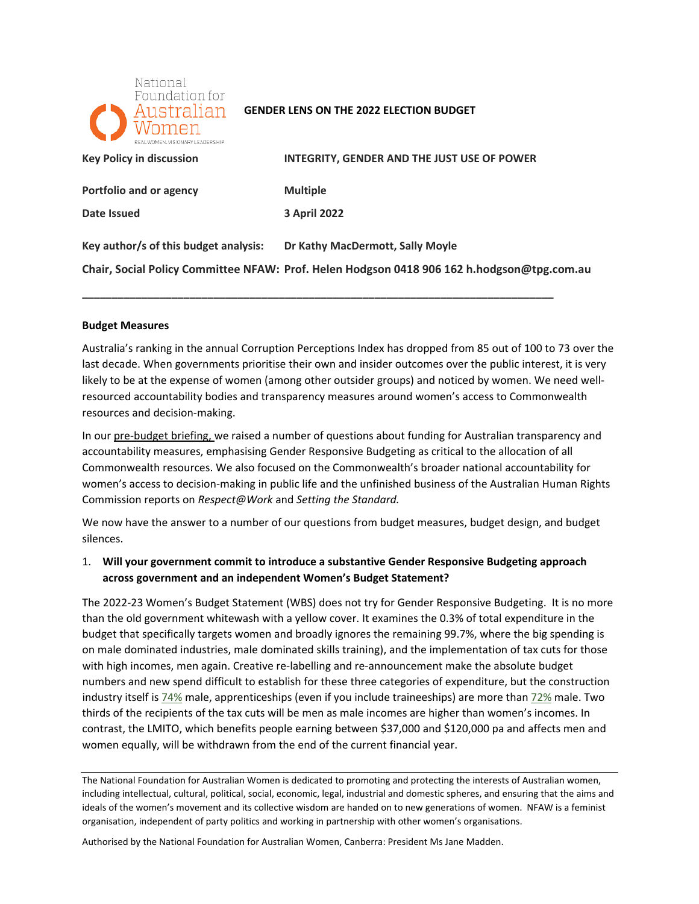

#### **GENDER LENS ON THE 2022 ELECTION BUDGET**

| <b>Key Policy in discussion</b>       | <b>INTEGRITY, GENDER AND THE JUST USE OF POWER</b>                                         |
|---------------------------------------|--------------------------------------------------------------------------------------------|
| Portfolio and or agency               | <b>Multiple</b>                                                                            |
| Date Issued                           | <b>3 April 2022</b>                                                                        |
| Key author/s of this budget analysis: | Dr Kathy MacDermott, Sally Moyle                                                           |
|                                       | Chair, Social Policy Committee NFAW: Prof. Helen Hodgson 0418 906 162 h.hodgson@tpg.com.au |

**\_\_\_\_\_\_\_\_\_\_\_\_\_\_\_\_\_\_\_\_\_\_\_\_\_\_\_\_\_\_\_\_\_\_\_\_\_\_\_\_\_\_\_\_\_\_\_\_\_\_\_\_\_\_\_\_\_\_\_\_\_\_\_\_\_\_\_\_\_\_\_\_\_\_\_\_\_\_\_** 

#### **Budget Measures**

 Australia's ranking in the annual Corruption Perceptions Index has dropped from 85 out of 100 to 73 over the last decade. When governments prioritise their own and insider outcomes over the public interest, it is very likely to be at the expense of women (among other outsider groups) and noticed by women. We need well- resourced accountability bodies and transparency measures around women's access to Commonwealth resources and decision-making.

In our pre-budget briefing, we raised a number of questions about funding for Australian transparency and accountability measures, emphasising Gender Responsive Budgeting as critical to the allocation of all Commonwealth resources. We also focused on the Commonwealth's broader national accountability for women's access to decision-making in public life and the unfinished business of the Australian Human Rights Commission reports on *Respect@Work* and *Setting the Standard.* 

 We now have the answer to a number of our questions from budget measures, budget design, and budget silences.

# silences.<br>1. Will your government commit to introduce a substantive Gender Responsive Budgeting approach <sub>.</sub> **across government and an independent Women's Budget Statement?**

 The 2022-23 Women's Budget Statement (WBS) does not try for Gender Responsive Budgeting. It is no more than the old government whitewash with a yellow cover. It examines the 0.3% of total expenditure in the budget that specifically targets women and broadly ignores the remaining 99.7%, where the big spending is on male dominated industries, male dominated skills training), and the implementation of tax cuts for those with high incomes, men again. Creative re-labelling and re-announcement make the absolute budget numbers and new spend difficult to establish for these three categories of expenditure, but the construction industry itself i[s 74%](https://data.wgea.gov.au/comparison/?id1=87&id2=110) male, apprenticeships (even if you include traineeships) are more than [72% m](https://www.ncver.edu.au/research-and-statistics/publications/all-publications/apprentices-and-trainees-2021-june-quarter)ale. Two thirds of the recipients of the tax cuts will be men as male incomes are higher than women's incomes. In contrast, the LMITO, which benefits people earning between \$37,000 and \$120,000 pa and affects men and women equally, will be withdrawn from the end of the current financial year.

The National Foundation for Australian Women is dedicated to promoting and protecting the interests of Australian women, including intellectual, cultural, political, social, economic, legal, industrial and domestic spheres, and ensuring that the aims and ideals of the women's movement and its collective wisdom are handed on to new generations of women. NFAW is a feminist organisation, independent of party politics and working in partnership with other women's organisations.

Authorised by the National Foundation for Australian Women, Canberra: President Ms Jane Madden.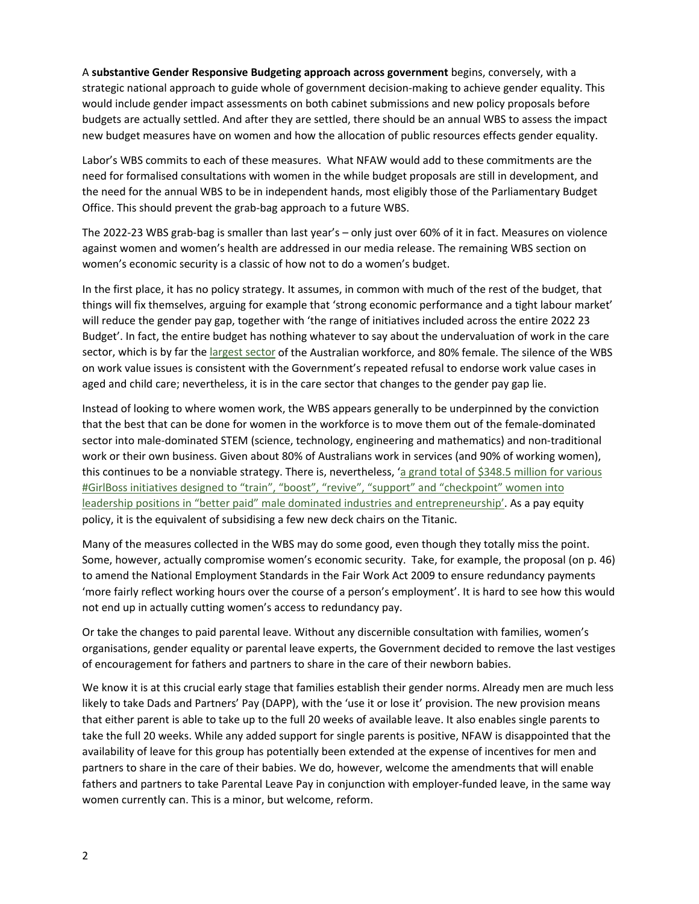strategic national approach to guide whole of government decision-making to achieve gender equality. This budgets are actually settled. And after they are settled, there should be an annual WBS to assess the impact new budget measures have on women and how the allocation of public resources effects gender equality. A **substantive Gender Responsive Budgeting approach across government** begins, conversely, with a would include gender impact assessments on both cabinet submissions and new policy proposals before

 Labor's WBS commits to each of these measures. What NFAW would add to these commitments are the need for formalised consultations with women in the while budget proposals are still in development, and the need for the annual WBS to be in independent hands, most eligibly those of the Parliamentary Budget Office. This should prevent the grab-bag approach to a future WBS.

 The 2022-23 WBS grab-bag is smaller than last year's – only just over 60% of it in fact. Measures on violence against women and women's health are addressed in our media release. The remaining WBS section on women's economic security is a classic of how not to do a women's budget.

 In the first place, it has no policy strategy. It assumes, in common with much of the rest of the budget, that things will fix themselves, arguing for example that 'strong economic performance and a tight labour market' will reduce the gender pay gap, together with 'the range of initiatives included across the entire 2022 23 Budget'. In fact, the entire budget has nothing whatever to say about the undervaluation of work in the care sector, which is by far th[e largest sector o](https://www.aph.gov.au/About_Parliament/Parliamentary_Departments/Parliamentary_Library/pubs/rp/rp2021/Quick_Guides/EmployIndustry)f the Australian workforce, and 80% female. The silence of the WBS on work value issues is consistent with the Government's repeated refusal to endorse work value cases in aged and child care; nevertheless, it is in the care sector that changes to the gender pay gap lie.

 Instead of looking to where women work, the WBS appears generally to be underpinned by the conviction that the best that can be done for women in the workforce is to move them out of the female-dominated work or their own business. Given about 80% of Australians work in services (and 90% of working women), this continues to be a nonviable strategy. There is, nevertheless, 'a grand total of \$348.5 million for various [#GirlBoss initiatives designed to "train", "boost", "revive", "support" and "checkpoint" women into](https://womensagenda.com.au/latest/we-must-move-from-career-feminism-to-care-feminism-this-girlboss-budget-doesnt-help/)  [leadership positions in "better paid" male dominated industries and entrepreneurship'.](https://womensagenda.com.au/latest/we-must-move-from-career-feminism-to-care-feminism-this-girlboss-budget-doesnt-help/) As a pay equity policy, it is the equivalent of subsidising a few new deck chairs on the Titanic. sector into male-dominated STEM (science, technology, engineering and mathematics) and non-traditional

 Many of the measures collected in the WBS may do some good, even though they totally miss the point. Some, however, actually compromise women's economic security. Take, for example, the proposal (on p. 46) to amend the National Employment Standards in the Fair Work Act 2009 to ensure redundancy payments 'more fairly reflect working hours over the course of a person's employment'. It is hard to see how this would not end up in actually cutting women's access to redundancy pay.

 Or take the changes to paid parental leave. Without any discernible consultation with families, women's organisations, gender equality or parental leave experts, the Government decided to remove the last vestiges of encouragement for fathers and partners to share in the care of their newborn babies.

of encouragement for fathers and partners to share in the care of their newborn babies.<br>We know it is at this crucial early stage that families establish their gender norms. Already men are much less likely to take Dads and Partners' Pay (DAPP), with the 'use it or lose it' provision. The new provision means that either parent is able to take up to the full 20 weeks of available leave. It also enables single parents to take the full 20 weeks. While any added support for single parents is positive, NFAW is disappointed that the availability of leave for this group has potentially been extended at the expense of incentives for men and partners to share in the care of their babies. We do, however, welcome the amendments that will enable fathers and partners to take Parental Leave Pay in conjunction with employer-funded leave, in the same way women currently can. This is a minor, but welcome, reform.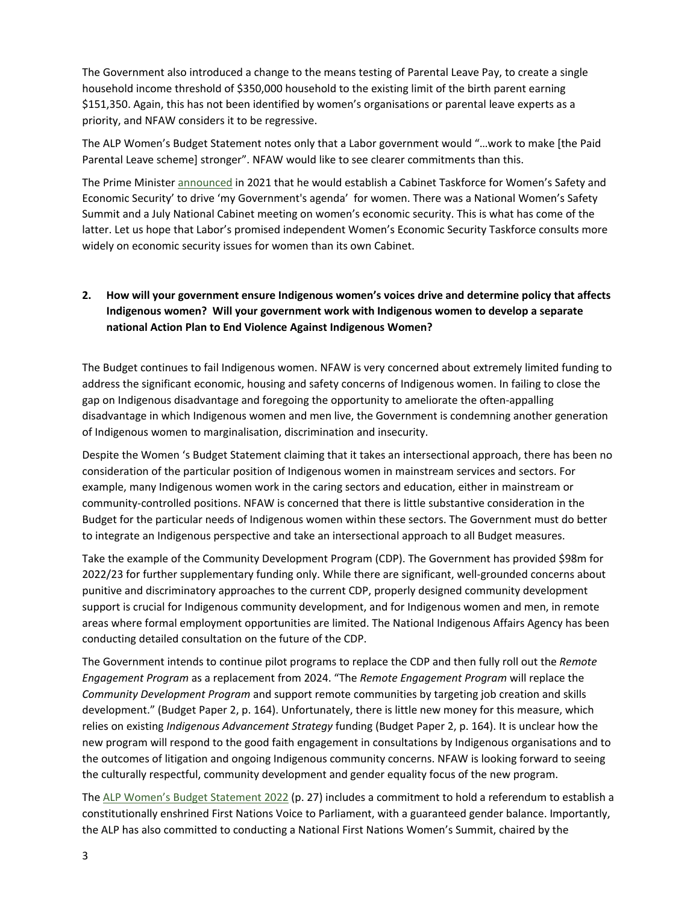The Government also introduced a change to the means testing of Parental Leave Pay, to create a single household income threshold of \$350,000 household to the existing limit of the birth parent earning \$151,350. Again, this has not been identified by women's organisations or parental leave experts as a priority, and NFAW considers it to be regressive.

 The ALP Women's Budget Statement notes only that a Labor government would "…work to make [the Paid Parental Leave scheme] stronger". NFAW would like to see clearer commitments than this.

 Economic Security' to drive 'my Government's agenda' for women. There was a National Women's Safety Summit and a July National Cabinet meeting on women's economic security. This is what has come of the latter. Let us hope that Labor's promised independent Women's Economic Security Taskforce consults more widely on economic security issues for women than its own Cabinet. The Prime Minister [announced](https://www.pm.gov.au/media/press-conference-australian-parliament-house-act-38) in 2021 that he would establish a Cabinet Taskforce for Women's Safety and

#### **2. How will your government ensure Indigenous women's voices drive and determine policy that affects Indigenous women? Will your government work with Indigenous women to develop a separate national Action Plan to End Violence Against Indigenous Women?**

 The Budget continues to fail Indigenous women. NFAW is very concerned about extremely limited funding to address the significant economic, housing and safety concerns of Indigenous women. In failing to close the gap on Indigenous disadvantage and foregoing the opportunity to ameliorate the often-appalling disadvantage in which Indigenous women and men live, the Government is condemning another generation of Indigenous women to marginalisation, discrimination and insecurity.

 Despite the Women 's Budget Statement claiming that it takes an intersectional approach, there has been no consideration of the particular position of Indigenous women in mainstream services and sectors. For example, many Indigenous women work in the caring sectors and education, either in mainstream or community-controlled positions. NFAW is concerned that there is little substantive consideration in the Budget for the particular needs of Indigenous women within these sectors. The Government must do better to integrate an Indigenous perspective and take an intersectional approach to all Budget measures.

 Take the example of the Community Development Program (CDP). The Government has provided \$98m for 2022/23 for further supplementary funding only. While there are significant, well-grounded concerns about support is crucial for Indigenous community development, and for Indigenous women and men, in remote areas where formal employment opportunities are limited. The National Indigenous Affairs Agency has been conducting detailed consultation on the future of the CDP. punitive and discriminatory approaches to the current CDP, properly designed community development

 The Government intends to continue pilot programs to replace the CDP and then fully roll out the *Remote Engagement Program* as a replacement from 2024. "The *Remote Engagement Program* will replace the *Community Development Program* and support remote communities by targeting job creation and skills development." (Budget Paper 2, p. 164). Unfortunately, there is little new money for this measure, which new program will respond to the good faith engagement in consultations by Indigenous organisations and to the outcomes of litigation and ongoing Indigenous community concerns. NFAW is looking forward to seeing the culturally respectful, community development and gender equality focus of the new program. relies on existing *Indigenous Advancement Strategy* funding (Budget Paper 2, p. 164). It is unclear how the

The [ALP Women's Budget Statement 2022](https://alp-assets.s3.ap-southeast-2.amazonaws.com/documents/2022+Women) (p. 27) includes a commitment to hold a referendum to establish a the ALP has also committed to conducting a National First Nations Women's Summit, chaired by the constitutionally enshrined First Nations Voice to Parliament, with a guaranteed gender balance. Importantly,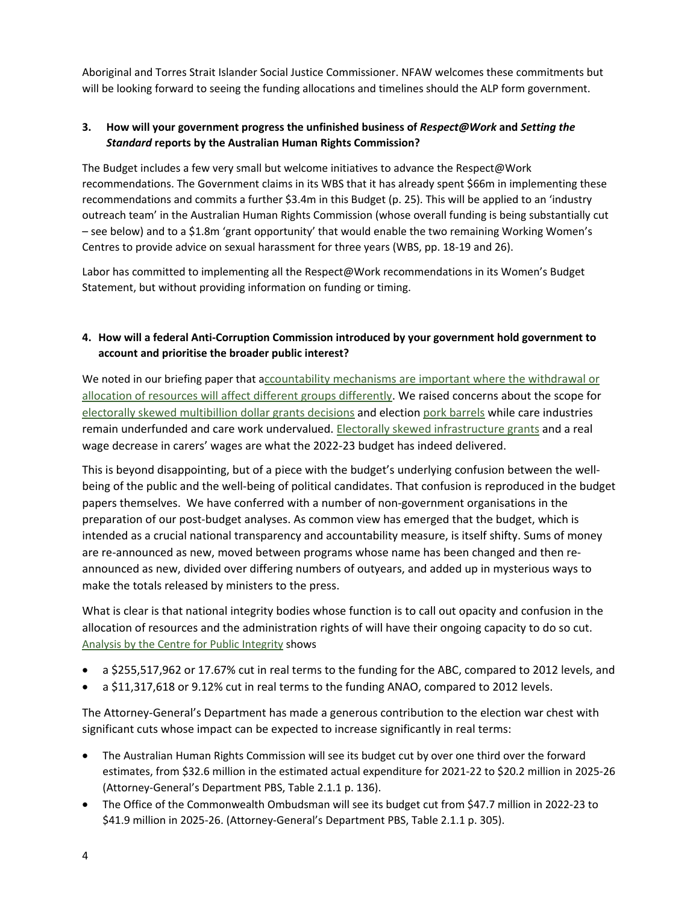Aboriginal and Torres Strait Islander Social Justice Commissioner. NFAW welcomes these commitments but will be looking forward to seeing the funding allocations and timelines should the ALP form government.

## **3. How will your government progress the unfinished business of** *Respect@Work* **and** *Setting the Standard* **reports by the Australian Human Rights Commission?**

 The Budget includes a few very small but welcome initiatives to advance the Respect@Work recommendations. The Government claims in its WBS that it has already spent \$66m in implementing these recommendations and commits a further \$3.4m in this Budget (p. 25). This will be applied to an 'industry outreach team' in the Australian Human Rights Commission (whose overall funding is being substantially cut Centres to provide advice on sexual harassment for three years (WBS, pp. 18-19 and 26). – see below) and to a \$1.8m 'grant opportunity' that would enable the two remaining Working Women's

 Labor has committed to implementing all the Respect@Work recommendations in its Women's Budget Statement, but without providing information on funding or timing.

#### **4. How will a federal Anti-Corruption Commission introduced by your government hold government to account and prioritise the broader public interest?**

[allocation of resources will affect different groups differently.](https://www.undp.org/publications/corruption-accountability-and-gender-understanding-connection-0) We raised concerns about the scope for We noted in our briefing paper that accountability mechanisms are important where the withdrawal or [electorally skewed multibillion dollar grants decisions](https://www.sbs.com.au/news/scott-morrison-fends-off-criticism-of-multibillion-dollar-grants-program/69d79d10-5678-493f-86cf-56b64f0ca722) and election [pork barrels](https://www.smh.com.au/politics/federal/tapping-the-pork-barrel-a-broken-system-failing-every-taxpayer-20211203-p59ens.html?utm_content=how_28_million_of_your_money_is_spent__it_grossly_favours_coalition_seats&list_name=E2446F7A-1897-44FC-8EB8-B365900170E3&promote_channel=edmail&utm_campaign=am-smh&utm_medium=email&utm_source=newsletter&utm_term=2021-12-15&mbnr=MTQ1MDU0NDk&instance=2021-12-15-06-33-AEDT&jobid=29352080) while care industries remain underfunded and care work undervalued. [Electorally skewed infrastructure grants](https://www.afr.com/politics/pre-election-cash-splash-pours-billions-into-must-win-seats-20220328-p5a8j7) and a real wage decrease in carers' wages are what the 2022-23 budget has indeed delivered.

 papers themselves. We have conferred with a number of non-government organisations in the This is beyond disappointing, but of a piece with the budget's underlying confusion between the wellbeing of the public and the well-being of political candidates. That confusion is reproduced in the budget preparation of our post-budget analyses. As common view has emerged that the budget, which is intended as a crucial national transparency and accountability measure, is itself shifty. Sums of money are re-announced as new, moved between programs whose name has been changed and then reannounced as new, divided over differing numbers of outyears, and added up in mysterious ways to make the totals released by ministers to the press.

 What is clear is that national integrity bodies whose function is to call out opacity and confusion in the allocation of resources and the administration rights of will have their ongoing capacity to do so cut. [Analysis by the Centre for Public Integrity](https://publicintegrity.org.au/media-release-budget-cuts-to-abc-and-anao-in-real-terms-independent-funding-tribunal-needed/) shows

- a \$255,517,962 or 17.67% cut in real terms to the funding for the ABC, compared to 2012 levels, and
- a \$11,317,618 or 9.12% cut in real terms to the funding ANAO, compared to 2012 levels.

 significant cuts whose impact can be expected to increase significantly in real terms: The Attorney-General's Department has made a generous contribution to the election war chest with

- • The Australian Human Rights Commission will see its budget cut by over one third over the forward estimates, from \$32.6 million in the estimated actual expenditure for 2021-22 to \$20.2 million in 2025-26 (Attorney-General's Department PBS, Table 2.1.1 p. 136).
- • The Office of the Commonwealth Ombudsman will see its budget cut from \$47.7 million in 2022-23 to \$41.9 million in 2025-26. (Attorney-General's Department PBS, Table 2.1.1 p. 305).